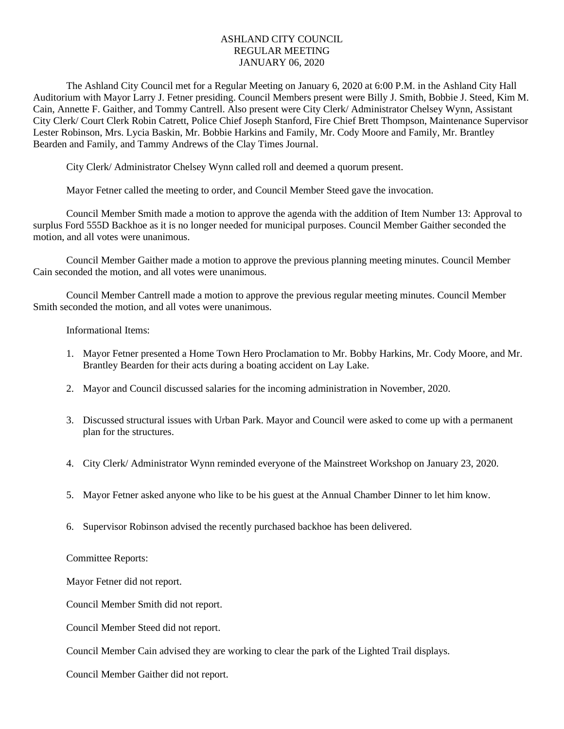## ASHLAND CITY COUNCIL REGULAR MEETING JANUARY 06, 2020

The Ashland City Council met for a Regular Meeting on January 6, 2020 at 6:00 P.M. in the Ashland City Hall Auditorium with Mayor Larry J. Fetner presiding. Council Members present were Billy J. Smith, Bobbie J. Steed, Kim M. Cain, Annette F. Gaither, and Tommy Cantrell. Also present were City Clerk/ Administrator Chelsey Wynn, Assistant City Clerk/ Court Clerk Robin Catrett, Police Chief Joseph Stanford, Fire Chief Brett Thompson, Maintenance Supervisor Lester Robinson, Mrs. Lycia Baskin, Mr. Bobbie Harkins and Family, Mr. Cody Moore and Family, Mr. Brantley Bearden and Family, and Tammy Andrews of the Clay Times Journal.

City Clerk/ Administrator Chelsey Wynn called roll and deemed a quorum present.

Mayor Fetner called the meeting to order, and Council Member Steed gave the invocation.

Council Member Smith made a motion to approve the agenda with the addition of Item Number 13: Approval to surplus Ford 555D Backhoe as it is no longer needed for municipal purposes. Council Member Gaither seconded the motion, and all votes were unanimous.

Council Member Gaither made a motion to approve the previous planning meeting minutes. Council Member Cain seconded the motion, and all votes were unanimous.

Council Member Cantrell made a motion to approve the previous regular meeting minutes. Council Member Smith seconded the motion, and all votes were unanimous.

Informational Items:

- 1. Mayor Fetner presented a Home Town Hero Proclamation to Mr. Bobby Harkins, Mr. Cody Moore, and Mr. Brantley Bearden for their acts during a boating accident on Lay Lake.
- 2. Mayor and Council discussed salaries for the incoming administration in November, 2020.
- 3. Discussed structural issues with Urban Park. Mayor and Council were asked to come up with a permanent plan for the structures.
- 4. City Clerk/ Administrator Wynn reminded everyone of the Mainstreet Workshop on January 23, 2020.
- 5. Mayor Fetner asked anyone who like to be his guest at the Annual Chamber Dinner to let him know.
- 6. Supervisor Robinson advised the recently purchased backhoe has been delivered.

Committee Reports:

Mayor Fetner did not report.

Council Member Smith did not report.

Council Member Steed did not report.

Council Member Cain advised they are working to clear the park of the Lighted Trail displays.

Council Member Gaither did not report.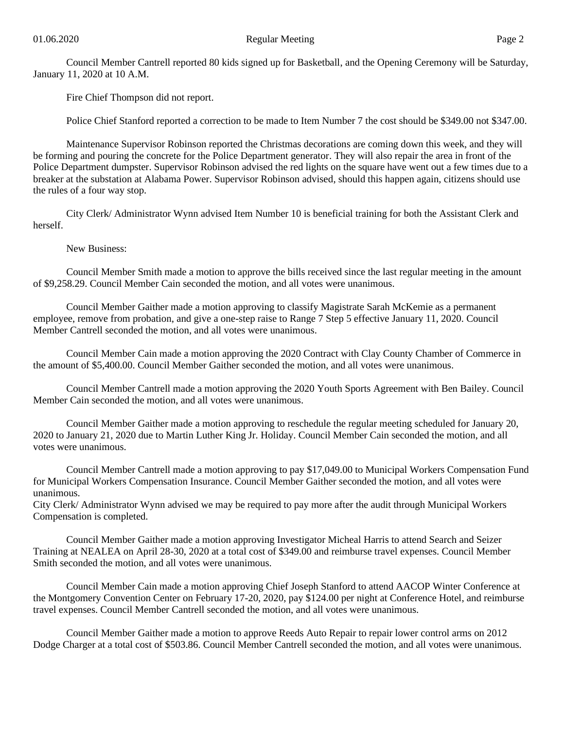Council Member Cantrell reported 80 kids signed up for Basketball, and the Opening Ceremony will be Saturday, January 11, 2020 at 10 A.M.

Fire Chief Thompson did not report.

Police Chief Stanford reported a correction to be made to Item Number 7 the cost should be \$349.00 not \$347.00.

Maintenance Supervisor Robinson reported the Christmas decorations are coming down this week, and they will be forming and pouring the concrete for the Police Department generator. They will also repair the area in front of the Police Department dumpster. Supervisor Robinson advised the red lights on the square have went out a few times due to a breaker at the substation at Alabama Power. Supervisor Robinson advised, should this happen again, citizens should use the rules of a four way stop.

City Clerk/ Administrator Wynn advised Item Number 10 is beneficial training for both the Assistant Clerk and herself.

New Business:

Council Member Smith made a motion to approve the bills received since the last regular meeting in the amount of \$9,258.29. Council Member Cain seconded the motion, and all votes were unanimous.

Council Member Gaither made a motion approving to classify Magistrate Sarah McKemie as a permanent employee, remove from probation, and give a one-step raise to Range 7 Step 5 effective January 11, 2020. Council Member Cantrell seconded the motion, and all votes were unanimous.

Council Member Cain made a motion approving the 2020 Contract with Clay County Chamber of Commerce in the amount of \$5,400.00. Council Member Gaither seconded the motion, and all votes were unanimous.

Council Member Cantrell made a motion approving the 2020 Youth Sports Agreement with Ben Bailey. Council Member Cain seconded the motion, and all votes were unanimous.

Council Member Gaither made a motion approving to reschedule the regular meeting scheduled for January 20, 2020 to January 21, 2020 due to Martin Luther King Jr. Holiday. Council Member Cain seconded the motion, and all votes were unanimous.

Council Member Cantrell made a motion approving to pay \$17,049.00 to Municipal Workers Compensation Fund for Municipal Workers Compensation Insurance. Council Member Gaither seconded the motion, and all votes were unanimous.

City Clerk/ Administrator Wynn advised we may be required to pay more after the audit through Municipal Workers Compensation is completed.

Council Member Gaither made a motion approving Investigator Micheal Harris to attend Search and Seizer Training at NEALEA on April 28-30, 2020 at a total cost of \$349.00 and reimburse travel expenses. Council Member Smith seconded the motion, and all votes were unanimous.

Council Member Cain made a motion approving Chief Joseph Stanford to attend AACOP Winter Conference at the Montgomery Convention Center on February 17-20, 2020, pay \$124.00 per night at Conference Hotel, and reimburse travel expenses. Council Member Cantrell seconded the motion, and all votes were unanimous.

Council Member Gaither made a motion to approve Reeds Auto Repair to repair lower control arms on 2012 Dodge Charger at a total cost of \$503.86. Council Member Cantrell seconded the motion, and all votes were unanimous.